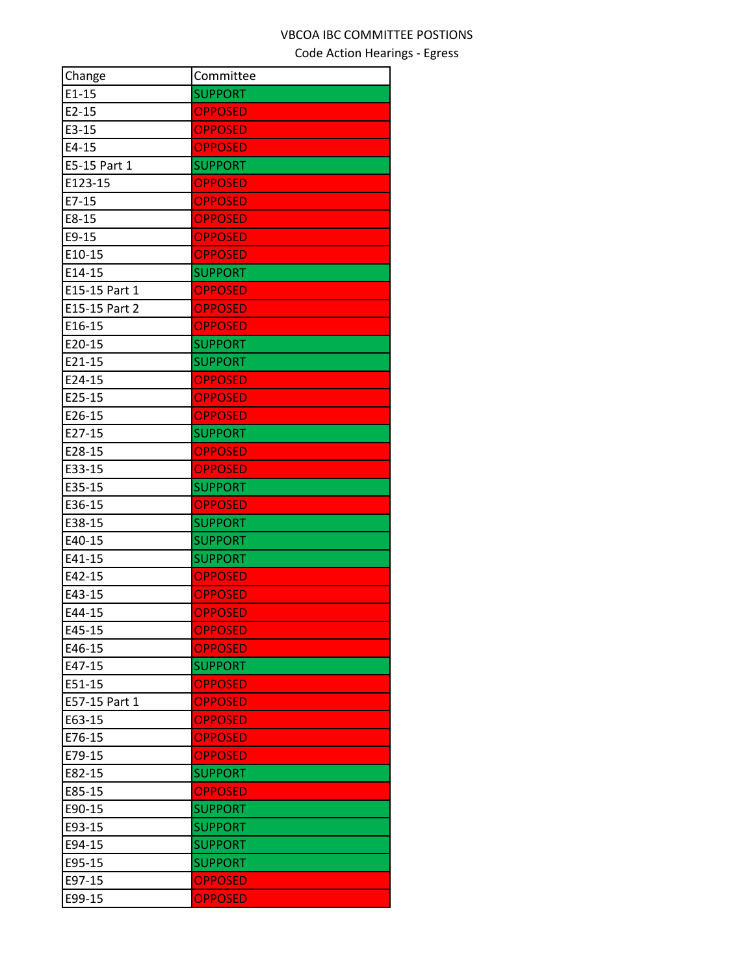## VBCOA IBC COMMITTEE POSTIONS

Code Action Hearings - Egress

| Change        | Committee      |
|---------------|----------------|
| $E1-15$       | <b>SUPPORT</b> |
| $E2-15$       | <b>OPPOSED</b> |
| E3-15         | <b>OPPOSED</b> |
| $E4-15$       | <b>OPPOSED</b> |
| E5-15 Part 1  | <b>SUPPORT</b> |
| E123-15       | <b>OPPOSED</b> |
| $E7-15$       | <b>OPPOSED</b> |
| E8-15         | <b>OPPOSED</b> |
| E9-15         | <b>OPPOSED</b> |
| E10-15        | <b>OPPOSED</b> |
| E14-15        | <b>SUPPORT</b> |
| E15-15 Part 1 | <b>OPPOSED</b> |
| E15-15 Part 2 | <b>OPPOSED</b> |
| E16-15        | <b>OPPOSED</b> |
| E20-15        | <b>SUPPORT</b> |
| E21-15        | <b>SUPPORT</b> |
| E24-15        | <b>OPPOSED</b> |
| E25-15        | <b>OPPOSED</b> |
| E26-15        | <b>OPPOSED</b> |
| E27-15        | <b>SUPPORT</b> |
| E28-15        | <b>OPPOSED</b> |
| E33-15        | <b>OPPOSED</b> |
| E35-15        | <b>SUPPORT</b> |
| E36-15        | <b>OPPOSED</b> |
| E38-15        | <b>SUPPORT</b> |
| E40-15        | <b>SUPPORT</b> |
| E41-15        | <b>SUPPORT</b> |
| E42-15        | <b>OPPOSED</b> |
| E43-15        | <b>OPPOSED</b> |
| E44-15        | <b>OPPOSED</b> |
| E45-15        | <b>OPPOSED</b> |
| E46-15        | <b>OPPOSED</b> |
| E47-15        | <b>SUPPORT</b> |
| E51-15        | <b>OPPOSED</b> |
| E57-15 Part 1 | <b>OPPOSED</b> |
| E63-15        | <b>OPPOSED</b> |
| E76-15        | <b>OPPOSED</b> |
| E79-15        | <b>OPPOSED</b> |
| E82-15        | <b>SUPPORT</b> |
| E85-15        | <b>OPPOSED</b> |
| E90-15        | <b>SUPPORT</b> |
| E93-15        | <b>SUPPORT</b> |
| E94-15        | <b>SUPPORT</b> |
| E95-15        | <b>SUPPORT</b> |
| E97-15        | <b>OPPOSED</b> |
| E99-15        | <b>OPPOSED</b> |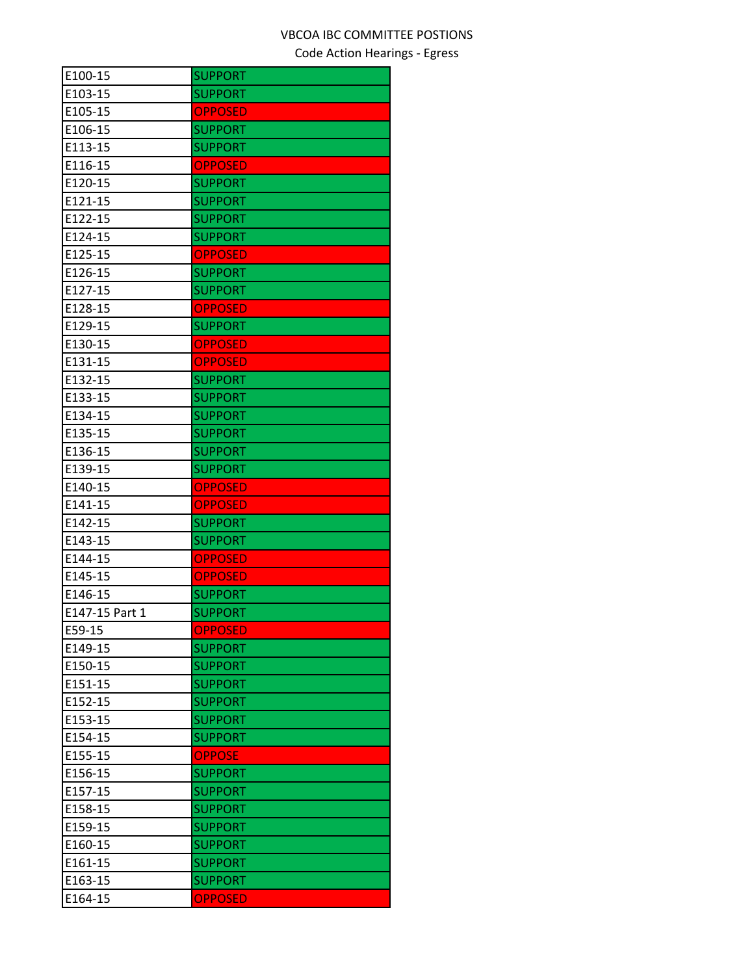## VBCOA IBC COMMITTEE POSTIONS

Code Action Hearings - Egress

| E100-15        | <b>SUPPORT</b> |
|----------------|----------------|
| E103-15        | <b>SUPPORT</b> |
| E105-15        | <b>OPPOSED</b> |
| E106-15        | <b>SUPPORT</b> |
| E113-15        | SUPPORT        |
| E116-15        | <b>OPPOSED</b> |
| E120-15        | <b>SUPPORT</b> |
| E121-15        | SUPPORT        |
| E122-15        | <b>SUPPORT</b> |
| E124-15        | SUPPORT        |
| E125-15        | <b>OPPOSED</b> |
| E126-15        | SUPPORT        |
| E127-15        | SUPPORT        |
| E128-15        | <b>OPPOSED</b> |
| E129-15        | SUPPORT        |
| E130-15        | <b>OPPOSED</b> |
| E131-15        | <b>OPPOSED</b> |
| E132-15        | <b>SUPPORT</b> |
| E133-15        | <b>SUPPORT</b> |
| E134-15        | SUPPORT        |
| E135-15        | SUPPORT        |
| E136-15        | SUPPORT        |
| E139-15        | SUPPORT        |
| E140-15        | <b>OPPOSED</b> |
| E141-15        | <b>OPPOSED</b> |
| E142-15        | <b>SUPPORT</b> |
| E143-15        | SUPPORT        |
| E144-15        | <b>OPPOSED</b> |
| E145-15        | <b>OPPOSED</b> |
| E146-15        | <b>SUPPORT</b> |
| E147-15 Part 1 | <b>SUPPORT</b> |
| E59-15         | <b>OPPOSED</b> |
| E149-15        | <b>SUPPORT</b> |
| E150-15        | <b>SUPPORT</b> |
| E151-15        | <b>SUPPORT</b> |
| E152-15        | <b>SUPPORT</b> |
| E153-15        | SUPPORT        |
| E154-15        | <b>SUPPORT</b> |
| E155-15        | <b>OPPOSE</b>  |
| E156-15        | <b>SUPPORT</b> |
| E157-15        | <b>SUPPORT</b> |
| E158-15        | SUPPORT        |
| E159-15        | <b>SUPPORT</b> |
| E160-15        | <b>SUPPORT</b> |
| E161-15        | <b>SUPPORT</b> |
| E163-15        | SUPPORT        |
| E164-15        | <b>OPPOSED</b> |